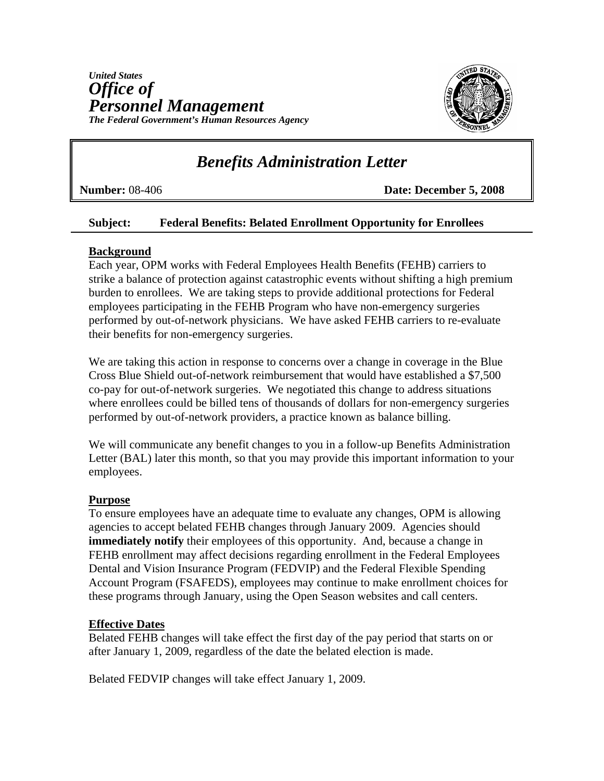

# *Benefits Administration Letter*

**Number:** 08-406 **Date: December 5, 2008**

### **Subject: Federal Benefits: Belated Enrollment Opportunity for Enrollees**

## **Background**

Each year, OPM works with Federal Employees Health Benefits (FEHB) carriers to strike a balance of protection against catastrophic events without shifting a high premium burden to enrollees. We are taking steps to provide additional protections for Federal employees participating in the FEHB Program who have non-emergency surgeries performed by out-of-network physicians. We have asked FEHB carriers to re-evaluate their benefits for non-emergency surgeries.

We are taking this action in response to concerns over a change in coverage in the Blue Cross Blue Shield out-of-network reimbursement that would have established a \$7,500 co-pay for out-of-network surgeries. We negotiated this change to address situations where enrollees could be billed tens of thousands of dollars for non-emergency surgeries performed by out-of-network providers, a practice known as balance billing.

We will communicate any benefit changes to you in a follow-up Benefits Administration Letter (BAL) later this month, so that you may provide this important information to your employees.

### **Purpose**

To ensure employees have an adequate time to evaluate any changes, OPM is allowing agencies to accept belated FEHB changes through January 2009. Agencies should **immediately notify** their employees of this opportunity. And, because a change in FEHB enrollment may affect decisions regarding enrollment in the Federal Employees Dental and Vision Insurance Program (FEDVIP) and the Federal Flexible Spending Account Program (FSAFEDS), employees may continue to make enrollment choices for these programs through January, using the Open Season websites and call centers.

### **Effective Dates**

Belated FEHB changes will take effect the first day of the pay period that starts on or after January 1, 2009, regardless of the date the belated election is made.

Belated FEDVIP changes will take effect January 1, 2009.